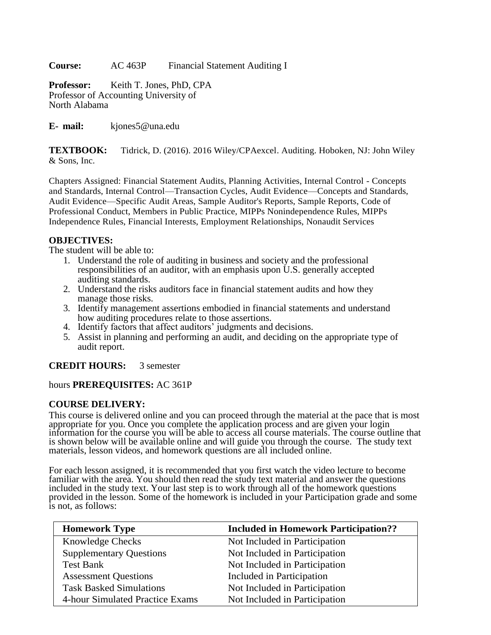**Course:** AC 463P Financial Statement Auditing I

**Professor:** Keith T. Jones, PhD, CPA Professor of Accounting University of North Alabama

**E- mail:** [kjones5@una.edu](mailto:kjones5@una.edu)

**TEXTBOOK:** Tidrick, D. (2016). 2016 Wiley/CPAexcel. Auditing. Hoboken, NJ: John Wiley & Sons, Inc.

Chapters Assigned: Financial Statement Audits, Planning Activities, Internal Control - Concepts and Standards, Internal Control—Transaction Cycles, Audit Evidence—Concepts and Standards, Audit Evidence—Specific Audit Areas, Sample Auditor's Reports, Sample Reports, Code of Professional Conduct, Members in Public Practice, MIPPs Nonindependence Rules, MIPPs Independence Rules, Financial Interests, Employment Relationships, Nonaudit Services

### **OBJECTIVES:**

The student will be able to:

- 1. Understand the role of auditing in business and society and the professional responsibilities of an auditor, with an emphasis upon U.S. generally accepted auditing standards.
- 2. Understand the risks auditors face in financial statement audits and how they manage those risks.
- 3. Identify management assertions embodied in financial statements and understand how auditing procedures relate to those assertions.
- 4. Identify factors that affect auditors' judgments and decisions.
- 5. Assist in planning and performing an audit, and deciding on the appropriate type of audit report.

# **CREDIT HOURS:** 3 semester

### hours **PREREQUISITES:** AC 361P

#### **COURSE DELIVERY:**

This course is delivered online and you can proceed through the material at the pace that is most appropriate for you. Once you complete the application process and are given your login information for the course you will be able to access all course materials. The course outline that is shown below will be available online and will guide you through the course. The study text materials, lesson videos, and homework questions are all included online.

For each lesson assigned, it is recommended that you first watch the video lecture to become familiar with the area. You should then read the study text material and answer the questions included in the study text. Your last step is to work through all of the homework questions provided in the lesson. Some of the homework is included in your Participation grade and some is not, as follows:

| <b>Homework Type</b>            | <b>Included in Homework Participation??</b> |
|---------------------------------|---------------------------------------------|
| <b>Knowledge Checks</b>         | Not Included in Participation               |
| <b>Supplementary Questions</b>  | Not Included in Participation               |
| Test Bank                       | Not Included in Participation               |
| <b>Assessment Questions</b>     | Included in Participation                   |
| <b>Task Basked Simulations</b>  | Not Included in Participation               |
| 4-hour Simulated Practice Exams | Not Included in Participation               |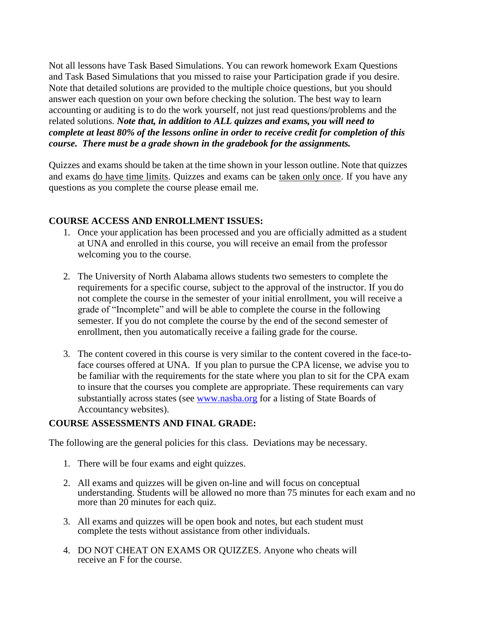Not all lessons have Task Based Simulations. You can rework homework Exam Questions and Task Based Simulations that you missed to raise your Participation grade if you desire. Note that detailed solutions are provided to the multiple choice questions, but you should answer each question on your own before checking the solution. The best way to learn accounting or auditing is to do the work yourself, not just read questions/problems and the related solutions. *Note that, in addition to ALL quizzes and exams, you will need to complete at least 80% of the lessons online in order to receive credit for completion of this course. There must be a grade shown in the gradebook for the assignments.*

Quizzes and exams should be taken at the time shown in your lesson outline. Note that quizzes and exams do have time limits. Quizzes and exams can be taken only once. If you have any questions as you complete the course please email me.

## **COURSE ACCESS AND ENROLLMENT ISSUES:**

- 1. Once your application has been processed and you are officially admitted as a student at UNA and enrolled in this course, you will receive an email from the professor welcoming you to the course.
- 2. The University of North Alabama allows students two semesters to complete the requirements for a specific course, subject to the approval of the instructor. If you do not complete the course in the semester of your initial enrollment, you will receive a grade of "Incomplete" and will be able to complete the course in the following semester. If you do not complete the course by the end of the second semester of enrollment, then you automatically receive a failing grade for the course.
- 3. The content covered in this course is very similar to the content covered in the face-toface courses offered at UNA. If you plan to pursue the CPA license, we advise you to be familiar with the requirements for the state where you plan to sit for the CPA exam to insure that the courses you complete are appropriate. These requirements can vary substantially across states (see [www.nasba.org](http://www.nasba.org/) for a listing of State Boards of Accountancy websites).

### **COURSE ASSESSMENTS AND FINAL GRADE:**

The following are the general policies for this class. Deviations may be necessary.

- 1. There will be four exams and eight quizzes.
- 2. All exams and quizzes will be given on-line and will focus on conceptual understanding. Students will be allowed no more than 75 minutes for each exam and no more than 20 minutes for each quiz.
- 3. All exams and quizzes will be open book and notes, but each student must complete the tests without assistance from other individuals.
- 4. DO NOT CHEAT ON EXAMS OR QUIZZES. Anyone who cheats will receive an F for the course.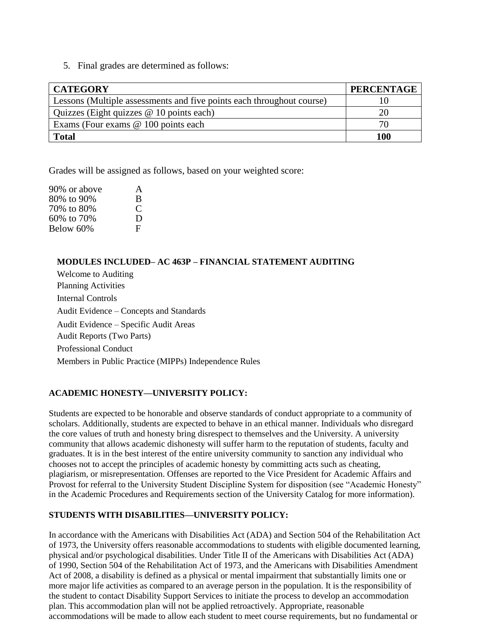5. Final grades are determined as follows:

| <b>CATEGORY</b>                                                       | <b>PERCENTAGE</b> |
|-----------------------------------------------------------------------|-------------------|
| Lessons (Multiple assessments and five points each throughout course) |                   |
| Quizzes (Eight quizzes @ 10 points each)                              | 20                |
| Exams (Four exams $@$ 100 points each                                 | 70.               |
| <b>Total</b>                                                          | <b>100</b>        |

Grades will be assigned as follows, based on your weighted score:

| 90% or above | A |
|--------------|---|
| 80% to 90%   | B |
| 70% to 80%   | € |
| 60% to 70%   | Ð |
| Below 60%    | E |

### **MODULES INCLUDED– AC 463P – FINANCIAL STATEMENT AUDITING**

Welcome to Auditing Planning Activities Internal Controls Audit Evidence – Concepts and Standards Audit Evidence – Specific Audit Areas Audit Reports (Two Parts) Professional Conduct Members in Public Practice (MIPPs) Independence Rules

### **ACADEMIC HONESTY—UNIVERSITY POLICY:**

Students are expected to be honorable and observe standards of conduct appropriate to a community of scholars. Additionally, students are expected to behave in an ethical manner. Individuals who disregard the core values of truth and honesty bring disrespect to themselves and the University. A university community that allows academic dishonesty will suffer harm to the reputation of students, faculty and graduates. It is in the best interest of the entire university community to sanction any individual who chooses not to accept the principles of academic honesty by committing acts such as cheating, plagiarism, or misrepresentation. Offenses are reported to the Vice President for Academic Affairs and Provost for referral to the University Student Discipline System for disposition (see "Academic Honesty" in the Academic Procedures and Requirements section of the University Catalog for more information).

#### **STUDENTS WITH DISABILITIES—UNIVERSITY POLICY:**

In accordance with the Americans with Disabilities Act (ADA) and Section 504 of the Rehabilitation Act of 1973, the University offers reasonable accommodations to students with eligible documented learning, physical and/or psychological disabilities. Under Title II of the Americans with Disabilities Act (ADA) of 1990, Section 504 of the Rehabilitation Act of 1973, and the Americans with Disabilities Amendment Act of 2008, a disability is defined as a physical or mental impairment that substantially limits one or more major life activities as compared to an average person in the population. It is the responsibility of the student to contact Disability Support Services to initiate the process to develop an accommodation plan. This accommodation plan will not be applied retroactively. Appropriate, reasonable accommodations will be made to allow each student to meet course requirements, but no fundamental or